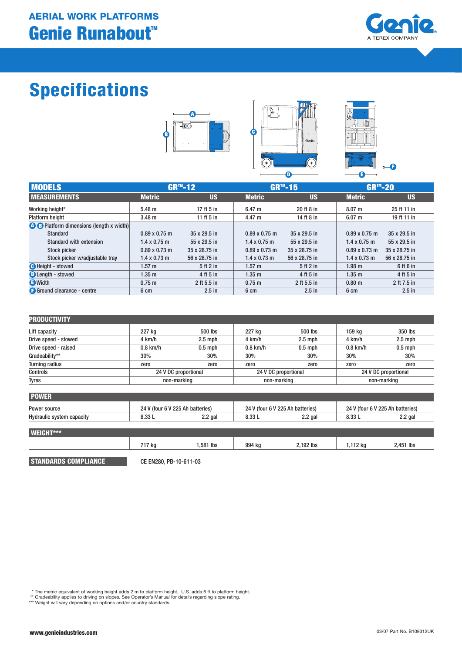# Genie Runabout<sup>™</sup> AERIAL WORK PLATFORMS



# Specifications





| z      |   |   |
|--------|---|---|
|        |   |   |
| ۸<br>٠ |   |   |
|        |   | F |
|        | j | I |

| <b>MODELS</b>                                   |                      | $GR^{m} - 12$ | <b>GR™-15</b>        |               | <b>GR™-20</b>        |               |
|-------------------------------------------------|----------------------|---------------|----------------------|---------------|----------------------|---------------|
| <b>MEASUREMENTS</b>                             | <b>Metric</b>        | <b>US</b>     | <b>Metric</b>        | US            | <b>Metric</b>        | <b>US</b>     |
| Working height*                                 | 5.48 m               | 17 ft 5 in    | 6.47 m               | 20 ft 8 in    | 8.07 m               | 25 ft 11 in   |
| <b>Platform height</b>                          | 3.48 <sub>m</sub>    | 11 ft 5 in    | 4.47 m               | 14 ft 8 in    | 6.07 m               | 19 ft 11 in   |
| <b>A B</b> Platform dimensions (length x width) |                      |               |                      |               |                      |               |
| Standard                                        | $0.89 \times 0.75$ m | 35 x 29.5 in  | $0.89 \times 0.75$ m | 35 x 29.5 in  | $0.89 \times 0.75$ m | 35 x 29.5 in  |
| <b>Standard with extension</b>                  | $1.4 \times 0.75$ m  | 55 x 29.5 in  | $1.4 \times 0.75$ m  | 55 x 29.5 in  | $1.4 \times 0.75$ m  | 55 x 29.5 in  |
| Stock picker                                    | $0.89 \times 0.73$ m | 35 x 28.75 in | $0.89 \times 0.73$ m | 35 x 28.75 in | $0.89 \times 0.73$ m | 35 x 28.75 in |
| Stock picker w/adjustable tray                  | $1.4 \times 0.73$ m  | 56 x 28.75 in | $1.4 \times 0.73$ m  | 56 x 28.75 in | $1.4 \times 0.73$ m  | 56 x 28.75 in |
| <b>B</b> Height - stowed                        | 1.57 m               | 5ft2in        | $1.57 \text{ m}$     | 5ft2in        | $1.98$ m             | 6 ft 6 in     |
| <b>O</b> Length - stowed                        | 1.35 <sub>m</sub>    | 4 ft 5 in     | 1.35 <sub>m</sub>    | 4 ft 5 in     | 1.35 <sub>m</sub>    | 4 ft 5 in     |
| <b>a</b> Width                                  | 0.75 m               | 2 ft 5.5 in   | 0.75 m               | 2 ft 5.5 in   | 0.80 <sub>m</sub>    | 2 ft 7.5 in   |
| <b>Ground clearance - centre</b>                | 6 cm                 | $2.5$ in      | 6 cm                 | $2.5$ in      | 6 cm                 | $2.5$ in      |

| <b>PRODUCTIVITY</b>   |            |                      |            |                      |            |                      |  |
|-----------------------|------------|----------------------|------------|----------------------|------------|----------------------|--|
| Lift capacity         | 227 kg     | 500 lbs              | 227 kg     | 500 lbs              | 159 ka     | 350 lbs              |  |
| Drive speed - stowed  | 4 km/h     | $2.5$ mph            | 4 km/h     | $2.5$ mph            | 4 km/h     | $2.5$ mph            |  |
| Drive speed - raised  | $0.8$ km/h | $0.5$ mph            | $0.8$ km/h | $0.5$ mph            | $0.8$ km/h | $0.5$ mph            |  |
| Gradeability**        | 30%        | 30%                  | 30%        | 30%                  | 30%        | 30%                  |  |
| <b>Turning radius</b> | zero       | zero                 | zero       | zero                 | zero       | zero                 |  |
| Controls              |            | 24 V DC proportional |            | 24 V DC proportional |            | 24 V DC proportional |  |
| <b>Tyres</b>          |            | non-marking          |            | non-marking          |            | non-marking          |  |

| <b>POWER</b>              |                                  |           |                                  |           |                                  |           |
|---------------------------|----------------------------------|-----------|----------------------------------|-----------|----------------------------------|-----------|
| Power source              | 24 V (four 6 V 225 Ah batteries) |           | 24 V (four 6 V 225 Ah batteries) |           | 24 V (four 6 V 225 Ah batteries) |           |
| Hydraulic system capacity | 8.33L                            | $2.2$ gal | 8.33L                            | $2.2$ gal | 8.33L                            | $2.2$ gal |
|                           |                                  |           |                                  |           |                                  |           |
| <b>WEIGHT***</b>          |                                  |           |                                  |           |                                  |           |
|                           | 717 ka                           | 1,581 lbs | 994 kg                           | 2,192 lbs | 1,112 kg                         | 2,451 lbs |

STANDARDS COMPLIANCE CE EN280, PB-10-611-03

\* The metric equivalent of working height adds 2 m to platform height. U.S. adds 6 ft to platform height.<br>\*\* Gradeability applies to driving on slopes. See Operator's Manual for details regarding slope rating.<br>\*\*\* Weight